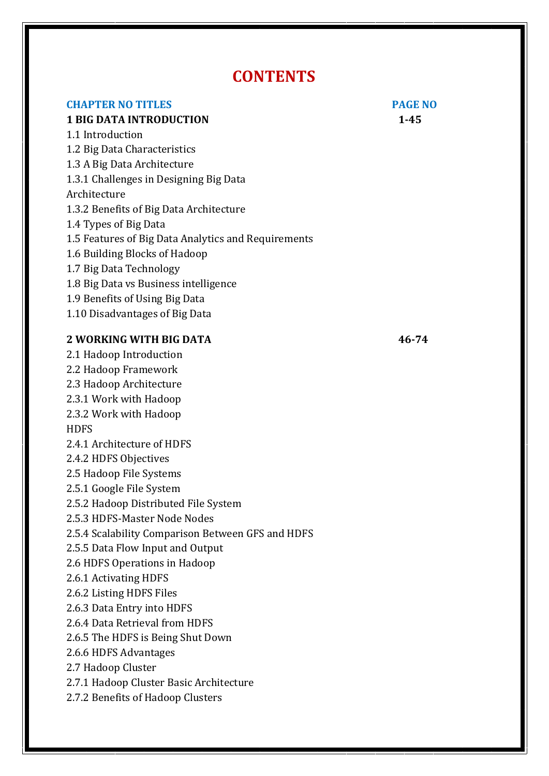# **CONTENTS**

## **CHAPTER NO TITLES PAGE NO**

## **1 BIG DATA INTRODUCTION 1-45**

1.1 Introduction

1.2 Big Data Characteristics

1.3 A Big Data Architecture

1.3.1 Challenges in Designing Big Data

## Architecture

1.3.2 Benefits of Big Data Architecture

- 1.4 Types of Big Data
- 1.5 Features of Big Data Analytics and Requirements
- 1.6 Building Blocks of Hadoop
- 1.7 Big Data Technology
- 1.8 Big Data vs Business intelligence
- 1.9 Benefits of Using Big Data
- 1.10 Disadvantages of Big Data

## **2 WORKING WITH BIG DATA 46-74**

2.1 Hadoop Introduction 2.2 Hadoop Framework 2.3 Hadoop Architecture 2.3.1 Work with Hadoop 2.3.2 Work with Hadoop **HDFS** 2.4.1 Architecture of HDFS 2.4.2 HDFS Objectives 2.5 Hadoop File Systems 2.5.1 Google File System 2.5.2 Hadoop Distributed File System 2.5.3 HDFS-Master Node Nodes 2.5.4 Scalability Comparison Between GFS and HDFS 2.5.5 Data Flow Input and Output 2.6 HDFS Operations in Hadoop 2.6.1 Activating HDFS 2.6.2 Listing HDFS Files 2.6.3 Data Entry into HDFS 2.6.4 Data Retrieval from HDFS 2.6.5 The HDFS is Being Shut Down 2.6.6 HDFS Advantages 2.7 Hadoop Cluster 2.7.1 Hadoop Cluster Basic Architecture 2.7.2 Benefits of Hadoop Clusters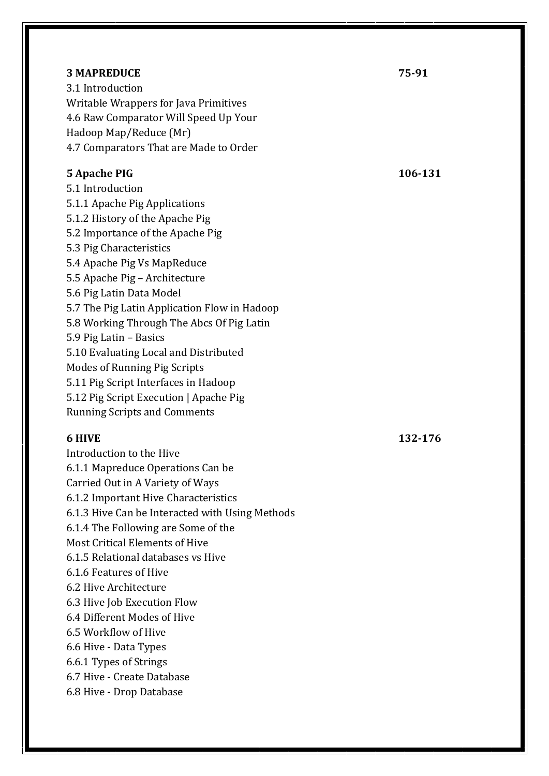#### **3 MAPREDUCE 25-91**

3.1 Introduction Writable Wrappers for Java Primitives 4.6 Raw Comparator Will Speed Up Your Hadoop Map/Reduce (Mr) 4.7 Comparators That are Made to Order

## **5 Apache PIG 106-131**

5.1 Introduction 5.1.1 Apache Pig Applications 5.1.2 History of the Apache Pig 5.2 Importance of the Apache Pig 5.3 Pig Characteristics 5.4 Apache Pig Vs MapReduce 5.5 Apache Pig – Architecture 5.6 Pig Latin Data Model 5.7 The Pig Latin Application Flow in Hadoop 5.8 Working Through The Abcs Of Pig Latin 5.9 Pig Latin – Basics 5.10 Evaluating Local and Distributed Modes of Running Pig Scripts 5.11 Pig Script Interfaces in Hadoop 5.12 Pig Script Execution | Apache Pig Running Scripts and Comments

Introduction to the Hive 6.1.1 Mapreduce Operations Can be Carried Out in A Variety of Ways 6.1.2 Important Hive Characteristics 6.1.3 Hive Can be Interacted with Using Methods 6.1.4 The Following are Some of the Most Critical Elements of Hive 6.1.5 Relational databases vs Hive 6.1.6 Features of Hive 6.2 Hive Architecture 6.3 Hive Job Execution Flow 6.4 Different Modes of Hive 6.5 Workflow of Hive 6.6 Hive - Data Types 6.6.1 Types of Strings 6.7 Hive - Create Database 6.8 Hive - Drop Database

**6 HIVE 132-176**